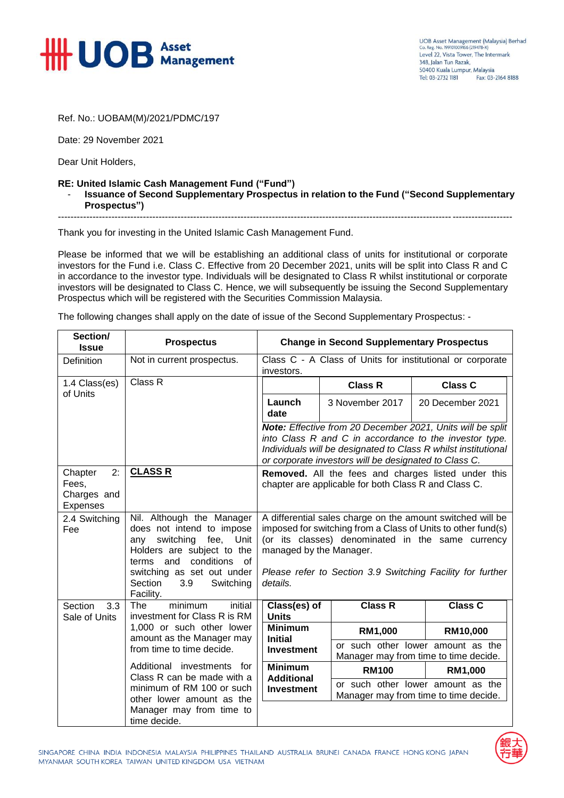

UOB Asset Management (Malaysia) Berhad Co. Reg. No. 199101009166 (219478-X) Level 22, Vista Tower, The Intermark 348 Jalan Tun Razak 50400 Kuala Lumpur, Malaysia Tel: 03-2732 1181 Fax: 03-2164 8188

Ref. No.: UOBAM(M)/2021/PDMC/197

Date: 29 November 2021

Dear Unit Holders,

## **RE: United Islamic Cash Management Fund ("Fund")** - **Issuance of Second Supplementary Prospectus in relation to the Fund ("Second Supplementary Prospectus")**

------------------------------------------------------------------------------------------------------------------------------------------------

Thank you for investing in the United Islamic Cash Management Fund.

Please be informed that we will be establishing an additional class of units for institutional or corporate investors for the Fund i.e. Class C. Effective from 20 December 2021, units will be split into Class R and C in accordance to the investor type. Individuals will be designated to Class R whilst institutional or corporate investors will be designated to Class C. Hence, we will subsequently be issuing the Second Supplementary Prospectus which will be registered with the Securities Commission Malaysia.

The following changes shall apply on the date of issue of the Second Supplementary Prospectus: -

| Section/<br><b>Issue</b>                                 | <b>Prospectus</b>                                                                                                                                                                                                                                                      | <b>Change in Second Supplementary Prospectus</b>                                                                                                                                                                                                                                     |                                                                            |                                                                            |
|----------------------------------------------------------|------------------------------------------------------------------------------------------------------------------------------------------------------------------------------------------------------------------------------------------------------------------------|--------------------------------------------------------------------------------------------------------------------------------------------------------------------------------------------------------------------------------------------------------------------------------------|----------------------------------------------------------------------------|----------------------------------------------------------------------------|
| <b>Definition</b>                                        | Not in current prospectus.                                                                                                                                                                                                                                             | Class C - A Class of Units for institutional or corporate<br>investors.                                                                                                                                                                                                              |                                                                            |                                                                            |
| 1.4 Class(es)<br>of Units                                | Class R                                                                                                                                                                                                                                                                |                                                                                                                                                                                                                                                                                      | <b>Class R</b>                                                             | <b>Class C</b>                                                             |
|                                                          |                                                                                                                                                                                                                                                                        | Launch<br>date                                                                                                                                                                                                                                                                       | 3 November 2017                                                            | 20 December 2021                                                           |
|                                                          |                                                                                                                                                                                                                                                                        | Note: Effective from 20 December 2021, Units will be split<br>into Class R and C in accordance to the investor type.<br>Individuals will be designated to Class R whilst institutional<br>or corporate investors will be designated to Class C.                                      |                                                                            |                                                                            |
| 2:<br>Chapter<br>Fees,<br>Charges and<br><b>Expenses</b> | <b>CLASS R</b>                                                                                                                                                                                                                                                         | Removed. All the fees and charges listed under this<br>chapter are applicable for both Class R and Class C.                                                                                                                                                                          |                                                                            |                                                                            |
| 2.4 Switching<br>Fee                                     | Nil. Although the Manager<br>does not intend to impose<br>fee, Unit<br>switching<br>anv<br>Holders are subject to the<br>conditions of<br>terms and<br>switching as set out under<br>3.9<br>Section<br>Switching<br>Facility.                                          | A differential sales charge on the amount switched will be<br>imposed for switching from a Class of Units to other fund(s)<br>(or its classes) denominated in the same currency<br>managed by the Manager.<br>Please refer to Section 3.9 Switching Facility for further<br>details. |                                                                            |                                                                            |
| Section<br>3.3<br>Sale of Units                          | minimum<br>initial<br>The<br>investment for Class R is RM<br>1,000 or such other lower<br>amount as the Manager may<br>from time to time decide.<br>Additional investments for<br>Class R can be made with a<br>minimum of RM 100 or such<br>other lower amount as the | Class(es) of<br><b>Units</b>                                                                                                                                                                                                                                                         | <b>Class R</b>                                                             | <b>Class C</b>                                                             |
|                                                          |                                                                                                                                                                                                                                                                        | <b>Minimum</b><br><b>Initial</b><br><b>Investment</b>                                                                                                                                                                                                                                | RM1,000                                                                    | RM10,000                                                                   |
|                                                          |                                                                                                                                                                                                                                                                        |                                                                                                                                                                                                                                                                                      |                                                                            | or such other lower amount as the<br>Manager may from time to time decide. |
|                                                          |                                                                                                                                                                                                                                                                        | <b>Minimum</b><br><b>Additional</b>                                                                                                                                                                                                                                                  | <b>RM100</b>                                                               | RM1,000                                                                    |
|                                                          |                                                                                                                                                                                                                                                                        | <b>Investment</b>                                                                                                                                                                                                                                                                    | or such other lower amount as the<br>Manager may from time to time decide. |                                                                            |
|                                                          | Manager may from time to<br>time decide.                                                                                                                                                                                                                               |                                                                                                                                                                                                                                                                                      |                                                                            |                                                                            |